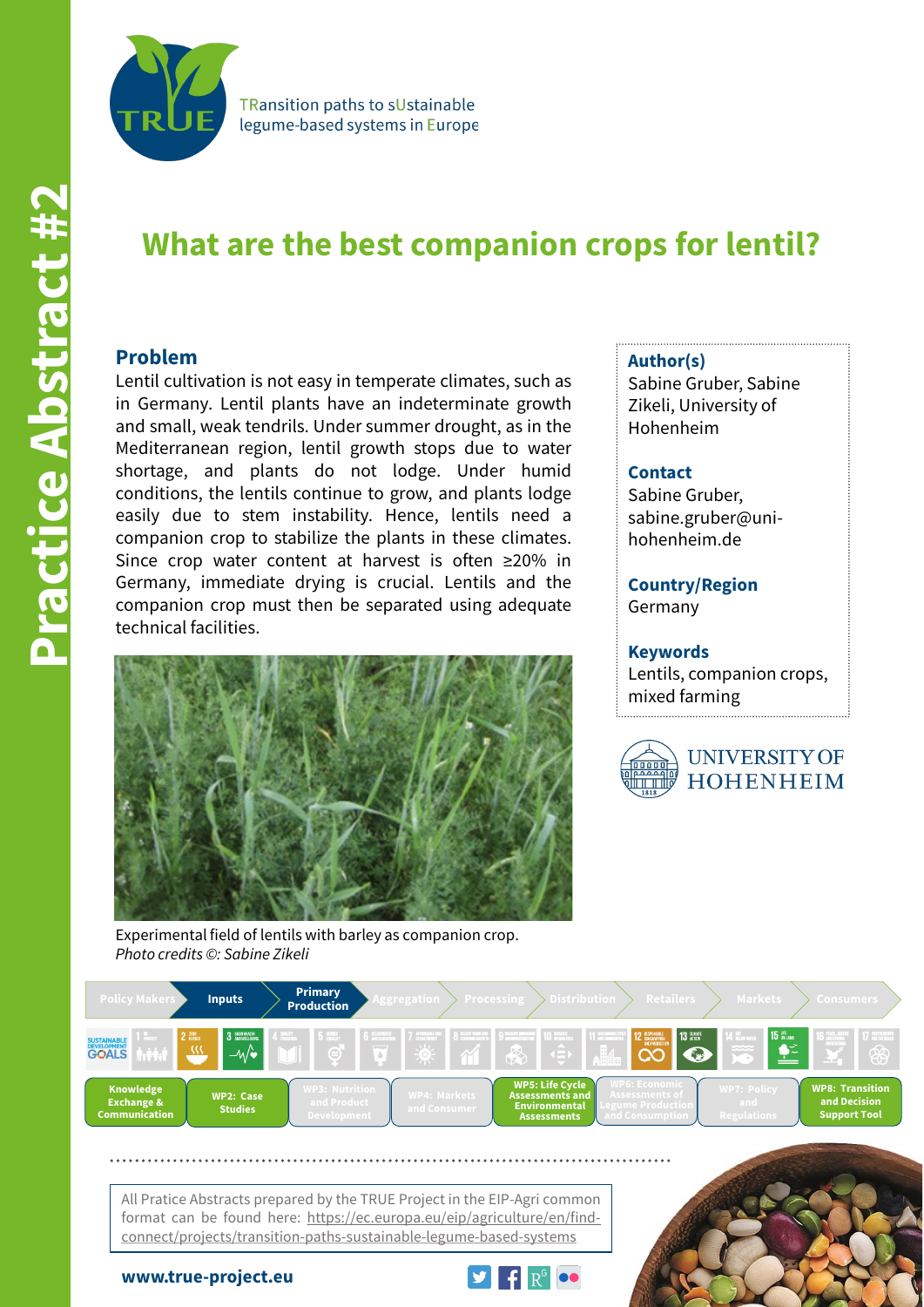

TRansition paths to sUstainable legume-based systems in Europe

# **Practice Abstract #2 Practice Abstract #**

# **What are the best companion crops for lentil?**

# **Problem**

Lentil cultivation is not easy in temperate climates, such as in Germany. Lentil plants have an indeterminate growth and small, weak tendrils. Under summer drought, as in the Mediterranean region, lentil growth stops due to water shortage, and plants do not lodge. Under humid conditions, the lentils continue to grow, and plants lodge easily due to stem instability. Hence, lentils need a companion crop to stabilize the plants in these climates. Since crop water content at harvest is often ≥20% in Germany, immediate drying is crucial. Lentils and the companion crop must then be separated using adequate technical facilities.



Experimental field of lentils with barley as companion crop. *Photo credits ©: Sabine Zikeli*

# **Author(s)**

Sabine Gruber, Sabine Zikeli, University of Hohenheim

# **Contact**

Sabine Gruber, sabine.gruber@unihohenheim.de

**Country/Region** Germany

# **Keywords**

Lentils, companion crops, mixed farming





All Pratice Abstracts prepared by the TRUE Project in the EIP-Agri common format can be found here: https://ec.europa.eu/eip/agriculture/en/findconnect/projects/transition-paths-sustainable-legume-based-systems



**www.true-project.eu**